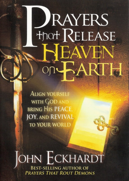# JRAYERS **Hnot RELEASE SEAVEN** ARTH

**ALIGN YOURSELF** WITH GOD AND **BRING HIS PEACE JOY, AND REVIVAL TO YOUR WORLD** 

#### OHN ECKHARDT **BEST-SELLING AUTHOR OF PRAYERS THAT ROUT DEMONS**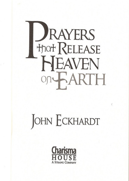

## JOHN ECKHARDT

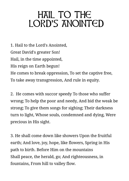### <span id="page-2-0"></span>HAIL TO THE LORD'S ANOINTED

1. Hail to the Lord's Anointed, Great David's greater Son! Hail, in the time appointed, His reign on Earth begun! He comes to break oppression, To set the captive free, To take away transgression, And rule in equity.

2. He comes with succor speedy To those who suffer wrong; To help the poor and needy, And bid the weak be strong; To give them songs for sighing; Their darkness turn to light, Whose souls, condemned and dying, Were precious in His sight.

3. He shall come down like showers Upon the fruitful earth; And love, joy, hope, like flowers, Spring in His path to birth. Before Him on the mountains Shall peace, the herald, go; And righteousness, in fountains, From hill to valley flow.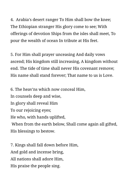4. Arabia's desert ranger To Him shall bow the knee; The Ethiopian stranger His glory come to see; With offerings of devotion Ships from the isles shall meet, To pour the wealth of ocean In tribute at His feet.

5. For Him shall prayer unceasing And daily vows ascend; His kingdom still increasing, A kingdom without end. The tide of time shall never His covenant remove; His name shall stand forever; That name to us is Love.

6. The heav'ns which now conceal Him, In counsels deep and wise, In glory shall reveal Him To our rejoicing eyes; He who, with hands uplifted, When from the earth below, Shall come again all gifted, His blessings to bestow.

7. Kings shall fall down before Him, And gold and incense bring, All nations shall adore Him, His praise the people sing.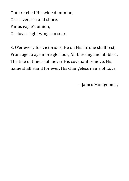Outstretched His wide dominion, O'er river, sea and shore, Far as eagle's pinion, Or dove's light wing can soar.

8. O'er every foe victorious, He on His throne shall rest; From age to age more glorious, All-blessing and all-blest. The tide of time shall never His covenant remove; His name shall stand for ever, His changeless name of Love.

—James Montgomery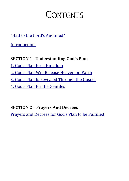### CONTENTS

["Hail to the Lord's Anointed"](#page-2-0)

**Introduction** 

**SECTION 1 - Understanding God's Plan**

- [1. God's Plan for a Kingdom](#page-8-0)
- [2. God's Plan Will Release Heaven on Earth](#page-11-0)
- [3. God's Plan Is Revealed Through the Gospel](#page-18-0)

[4. God's Plan for the Gentiles](#page-22-0)

**SECTION 2 – Prayers And Decrees**

[Prayers and Decrees for God's Plan to be Fulfilled](#page-30-0)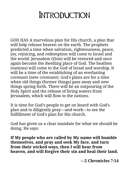#### <span id="page-6-0"></span>**INTRODUCTION**

GOD HAS A marvelous plan for His church, a plan that will help release heaven on the earth. The prophets predicted a time when salvation, righteousness, peace, joy, rejoicing, and redemption will come to Israel and the world. Jerusalem (Zion) will be restored and once again become the dwelling place of God. The heathen (nations) will come to the God of Israel and worship. It will be a time of the establishing of an everlasting covenant (new covenant). God's plans are for a time when old things (former things) pass away and new things spring forth. There will be an outpouring of the Holy Spirit and the release of living waters from Jerusalem, which will flow to the nations.

It is time for God's people to get on board with God's plan and to diligently pray—and work—to see the fulfillment of God's plan for His church.

God has given us a clear mandate for what we should be doing. He says:

**If My people who are called by My name will humble themselves, and pray and seek My face, and turn from their wicked ways, then I will hear from heaven, and will forgive their sin and heal their land.**

**—2 Chronicles 7:14**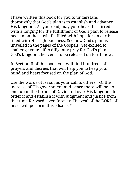I have written this book for you to understand thoroughly that God's plan is to establish and advance His kingdom. As you read, may your heart be stirred with a longing for the fulfillment of God's plan to release heaven on the earth. Be filled with hope for an earth filled with His righteousness. See how God's plan is unveiled in the pages of the Gospels. Get excited to challenge yourself to diligently pray for God's plan— God's kingdom, heaven—to be released on Earth now.

In Section II of this book you will find hundreds of prayers and decrees that will help you to keep your mind and heart focused on the plan of God.

Use the words of Isaiah as your call to others: "Of the increase of His government and peace there will be no end, upon the throne of David and over His kingdom, to order it and establish it with judgment and justice from that time forward, even forever. The zeal of the LORD of hosts will perform this" (Isa. 9:7).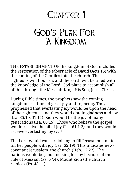### <span id="page-8-0"></span>CHAPTER 1

#### GOD'S PLAN FOR A Kingdom

THE ESTABLISHMENT OF the kingdom of God included the restoration of the tabernacle of David (Acts 15) with the coming of the Gentiles into the church. The righteous will flourish, and the earth will be filled with the knowledge of the Lord. God plans to accomplish all of this through the Messiah-King, His Son, Jesus Christ.

During Bible times, the prophets saw the coming kingdom as a time of great joy and rejoicing. They prophesied that everlasting joy would be upon the head of the righteous, and they would obtain gladness and joy (Isa. 35:10; 51:11). Zion would be the joy of many generations (Isa. 60:15). Those who believe the gospel would receive the oil of joy (Isa. 61:1-3), and they would receive everlasting joy (v. 7).

The Lord would cause rejoicing to fill Jerusalem and to fill her people with joy (Isa. 65:19). This indicates newcovenant Jerusalem, the church (Heb. 12:22). The nations would be glad and sing for joy because of the rule of Messiah (Ps. 67:4). Mount Zion (the church) rejoices (Ps. 48:11).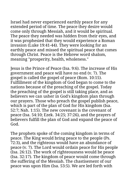Israel had never experienced earthly peace for any extended period of time. The peace they desire would come only through Messiah, and it would be spiritual. The peace they needed was hidden from their eyes, and it was prophesied that they would experience a Roman invasion (Luke 19:41-44). They were looking for an earthly peace and missed the spiritual peace that comes through Christ. Peace is the Hebrew word shalom, meaning "prosperity, health, wholeness."

Jesus is the Prince of Peace (Isa. 9:6). The increase of His government and peace will have no end (v. 7). The gospel is called the gospel of peace (Rom. 10:15). Fulfillment of the kingdom of God began to come to the nations because of the preaching of the gospel. Today the preaching of the gospel is still taking place, and as believers we can usher in God's kingdom plan through our prayers. Those who preach the gospel publish peace, which is part of the plan of God for His kingdom (Isa. 52:7; Nah. 1:15). The new covenant is the covenant of peace (Isa. 54:10; Ezek. 34:25; 37:26), and the prayers of believers fulfill the plan of God and expand the peace of God.

The prophets spoke of the coming kingdom in terms of peace. The King would bring peace to the people (Ps. 72:3), and the righteous would have an abundance of peace (v. 7). The Lord would ordain peace for His people (Isa. 26:12). The work of righteousness would be peace (Isa. 32:17). The kingdom of peace would come through the suffering of the Messiah. The chastisement of our peace was upon Him (Isa. 53:5). We are led forth with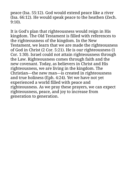peace (Isa. 55:12). God would extend peace like a river (Isa. 66:12). He would speak peace to the heathen (Zech. 9:10).

It is God's plan that righteousness would reign in His kingdom. The Old Testament is filled with references to the righteousness of the kingdom. In the New Testament, we learn that we are made the righteousness of God in Christ (2 Cor. 5:21). He is our righteousness (1 Cor. 1:30). Israel could not attain righteousness through the Law. Righteousness comes through faith and the new covenant. Today, as believers in Christ and His righteousness, we are living in the kingdom. The Christian—the new man—is created in righteousness and true holiness (Eph. 4:24). Yet we have not yet experienced a world filled with peace and righteousness. As we pray these prayers, we can expect righteousness, peace, and joy to increase from generation to generation.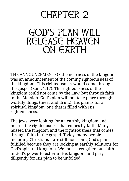### <span id="page-11-0"></span>CHAPTER 2

#### **GOD'S PLAN WILL** RELEASE HEAVEN ON EARTH

THE ANNOUNCEMENT OF the nearness of the kingdom was an announcement of the coming righteousness of the kingdom. This righteousness would come through the gospel (Rom. 1:17). The righteousness of the kingdom could not come by the Law, but through faith in the Messiah. God's plan will not take place through worldly things (meat and drink). His plan is for a spiritual kingdom, one that is filled with His righteousness.

The Jews were looking for an earthly kingdom and missed the righteousness that comes by faith. Many missed the kingdom and the righteousness that comes through faith in the gospel. Today, many people including Christians—are still not seeing God's plan fulfilled because they are looking at earthly solutions for God's spiritual kingdom. We must strengthen our faith in God's power to usher in His kingdom and pray diligently for His plan to be unfolded.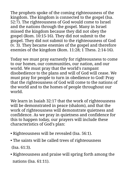The prophets spoke of the coming righteousness of the kingdom. The kingdom is connected to the gospel (Isa. 52:7). The righteousness of God would come to Israel and the nations through the gospel. Many in Israel missed the kingdom because they did not obey the gospel (Rom. 10:15-16). They did not submit to the gospel. They did not submit to the righteousness of God (v. 3). They became enemies of the gospel and therefore enemies of the kingdom (Rom. 11:28; 1 Thess. 2:14-16).

Today we must pray earnestly for righteousness to come to our homes, our communities, our nation, and our world. We must pray that the world's rampant disobedience to the plans and will of God will cease. We must pray for people to turn in obedience to God! Pray that the righteousness of God will come to the nations of the world and to the homes of people throughout our world.

We learn in Isaiah 32:17 that the work of righteousness will be demonstrated in peace (shalom), and that the work of righteousness will demonstrate quietness and confidence. As we pray in quietness and confidence for this to happen today, our prayers will include these characteristics of God's plan:

- Righteousness will be revealed (Isa. 56:1).
- The saints will be called trees of righteousness (Isa. 61:3).
- Righteousness and praise will spring forth among the nations (Isa. 61:11).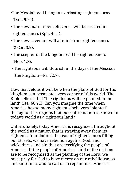- •The Messiah will bring in everlasting righteousness (Dan. 9:24).
- The new man—new believers—will be created in righteousness (Eph. 4:24).
- The new covenant will administrate righteousness (2 Cor. 3:9).
- The scepter of the kingdom will be righteousness (Heb. 1:8).
- The righteous will flourish in the days of the Messiah (the kingdom—Ps. 72:7).

How marvelous it will be when the plans of God for His kingdom can permeate every corner of this world. The Bible tells us that "the righteous will be planted in the land" (Isa. 60:21). Can you imagine the time when America has so many righteous believers "planted" throughout its regions that our entire nation is known in today's world as a righteous land?

Unfortunately, today America is recognized throughout the world as a nation that is straying away from its righteous foundations. Instead of righteousness filling our streets, we have rebellion against God, and wickedness and sin that are terrifying the people of America. If the people of America—and of the nations are to be recognized as the planting of the Lord, we must pray for God to have mercy on our rebelliousness and sinfulness and to call us to repentance. America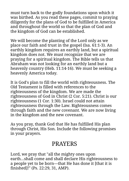must turn back to the godly foundations upon which it was birthed. As you read these pages, commit to praying diligently for the plans of God to be fulfilled in America and throughout the world so that the plan of God and the kingdom of God can be established.

We will become the planting of the Lord only as we place our faith and trust in the gospel (Isa. 61:1-3). An earthly kingdom requires an earthly land, but a spiritual kingdom does not. We must recognize that we are praying for a spiritual kingdom. The Bible tells us that Abraham was not looking for an earthly land but a heavenly country (Heb. 11:14-16). We must be seeking a heavenly America today.

It is God's plan to fill the world with righteousness. The Old Testament is filled with references to the righteousness of the kingdom. We are made the righteousness of God in Christ (2 Cor. 5:21). Christ is our righteousness (1 Cor. 1:30). Israel could not attain righteousness through the Law. Righteousness comes through faith and the new covenant. We are now living in the kingdom and the new covenant.

As you pray, thank God that He has fulfilled His plan through Christ, His Son. Include the following promises in your prayers.

#### PRAYERS

Lord, we pray that "all the mighty ones upon earth...shall come and shall declare His righteousness to a people yet to be born—that He has done it [that it is finished]!" (Ps. 22:29, 31, AMP).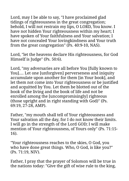Lord, may I be able to say, "I have proclaimed glad tidings of righteousness in the great congregation; behold, I will not restrain my lips, O LORD, You know. I have not hidden Your righteousness within my heart; I have spoken of Your faithfulness and Your salvation; I have not concealed Your lovingkindness and Your truth from the great congregation" (Ps. 40:9-10, NAS).

Lord, "let the heavens declare His righteousness, for God Himself is Judge" (Ps. 50:6).

Lord, "my adversaries are all before You [fully known to You].... Let one [unforgiven] perverseness and iniquity accumulate upon another for them [in Your book], and let them not come into Your righteousness or be justified and acquitted by You. Let them be blotted out of the book of the living and the book of life and not be enrolled among the [uncompromisingly] righteous (those upright and in right standing with God)" (Ps. 69:19, 27-28, AMP).

Father, "my mouth shall tell of Your righteousness and Your salvation all the day, for I do not know their limits. I will go in the strength of the Lord GOD; I will make mention of Your righteousness, of Yours only" (Ps. 71:15- 16).

"Your righteousness reaches to the skies, O God, you who have done great things. Who, O God, is like you?" (Ps. 71:19, NIV).

Father, I pray that the prayer of Solomon will be true in the nations today: "Give the gift of wise rule to the king,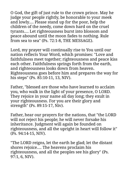O God, the gift of just rule to the crown prince. May he judge your people rightly, be honorable to your meek and lowly.... Please stand up for the poor, help the children of the needy, come down hard on the cruel tyrants.... Let righteousness burst into blossom and peace abound until the moon fades to nothing. Rule from sea to sea" (Ps. 72:1-8, THE MESSAGE).

Lord, my prayer will continually rise to You until our nation reflects Your Word, which promises: "Love and faithfulness meet together; righteousness and peace kiss each other. Faithfulness springs forth from the earth, and righteousness looks down from heaven. Righteousness goes before him and prepares the way for his steps" (Ps. 85:10-11, 13, NIV).

Father, "blessed are those who have learned to acclaim you, who walk in the light of your presence, O LORD. They rejoice in your name all day long; they exult in your righteousness. For you are their glory and strength" (Ps. 89:15-17, Niv).

Father, hear our prayers for the nations, that "the LORD will not reject his people; he will never forsake his inheritance. Judgment will again be founded on righteousness, and all the upright in heart will follow it" (Ps. 94:14-15, NIV).

"The LORD reigns, let the earth be glad; let the distant shores rejoice.... The heavens proclaim his righteousness, and all the peoples see his glory" (Ps. 97:1, 6, NIV).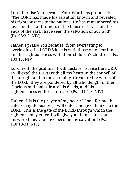Lord, I praise You because Your Word has promised: "The LORD has made his salvation known and revealed his righteousness to the nations. He has remembered his love and his faithfulness to the house of Israel; all the ends of the earth have seen the salvation of our God" (Ps. 98:2-3, NIV).

Father, I praise You because "from everlasting to everlasting the LORD'S love is with those who fear him, and his righteousness with their children's children" (Ps. 103:17, NIV).

Lord, with the psalmist, I will declare, "Praise the LORD. I will extol the LORD with all my heart in the council of the upright and in the assembly. Great are the works of the LORD; they are pondered by all who delight in them. Glorious and majestic are his deeds, and his righteousness endures forever" (Ps. 111:1-3, NIV).

Father, this is the prayer of my heart: "Open for me the gates of righteousness; I will enter and give thanks to the LORD. This is the gate of the LORD through which the righteous may enter. I will give you thanks, for you answered me; you have become my salvation" (Ps. 118:19-21, NIV).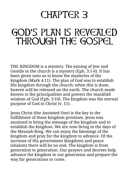### <span id="page-18-0"></span>CHAPTER 3

### GOD'S PLAN IS REVEALED THROUGH THE GOSPEL

THE KINGDOM is a mystery. The joining of Jew and Gentile in the church is a mystery (Eph. 3:1-6). It has been given unto us to know the mysteries of the kingdom (Mark 4:11). The plan of God was to establish His kingdom through the church; when this is done, heaven will be released on the earth. The church made known to the principalities and powers the manifold wisdom of God (Eph. 3:10). The kingdom was the eternal purpose of God in Christ (v. 11).

Jesus Christ (the Anointed One) is the key to the fulfillment of these kingdom promises. Jesus was anointed to bring the message of the kingdom and to establish the kingdom. We are now living in the days of the Messiah-King. We can enjoy the blessings of the kingdom and pray for the kingdom to advance. Of the increase of His government (kingdom) and peace (shalom) there will be no end. The kingdom is from generation to generation. Our prayers and decrees help advance the kingdom in our generation and prepare the way for generations to come.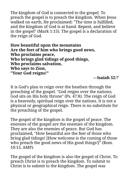The kingdom of God is connected to the gospel. To preach the gospel is to preach the kingdom. When Jesus walked on earth, He proclaimed: "The time is fulfilled, and the kingdom of God is at hand. Repent, and believe in the gospel" (Mark 1:15). The gospel is a declaration of the reign of God.

**How beautiful upon the mountains Are the feet of him who brings good news, Who proclaims peace, Who brings glad tidings of good things, Who proclaims salvation, Who says to Zion, "Your God reigns!"**

#### **—Isaiah 52:7**

It is God's plan to reign over the heathen through the preaching of the gospel. "God reigns over the nations; God sits on His holy throne" (Ps. 47:8). The reign of God is a heavenly, spiritual reign over the nations. It is not a physical or geographical reign. There is no substitute for the preaching of the gospel.

The gospel of the kingdom is the gospel of peace. The enemies of the gospel are the enemies of the kingdom. They are also the enemies of peace. But God has proclaimed, "How beautiful are the feet of those who bring glad tidings! [How welcome is the coming of those who preach the good news of His good things!]" (Rom. 10:15, AMP).

The gospel of the kingdom is also the gospel of Christ. To preach Christ is to preach the kingdom. To submit to Christ is to submit to the kingdom. The gospel was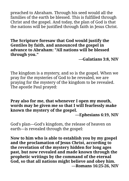preached to Abraham. Through his seed would all the families of the earth be blessed. This is fulfilled through Christ and the gospel. And today, the plan of God is that the nations will be justified through faith in Jesus Christ.

**The Scripture foresaw that God would justify the Gentiles by faith, and announced the gospel in advance to Abraham: "All nations will be blessed through you."**

**—Galatians 3:8, NIV**

The kingdom is a mystery, and so is the gospel. When we pray for the mysteries of God to be revealed, we are praying for the mystery of the kingdom to be revealed. The apostle Paul prayed:

**Pray also for me, that whenever I open my mouth, words may be given me so that I will fearlessly make known the mystery of the gospel.**

**—Ephesians 6:19, NIV**

God's plan—God's kingdom, the release of heaven on earth—is revealed through the gospel:

**Now to him who is able to establish you by my gospel and the proclamation of Jesus Christ, according to the revelation of the mystery hidden for long ages past, but now revealed and made known through the prophetic writings by the command of the eternal God, so that all nations might believe and obey him. —Romans 16:25-26, NIV**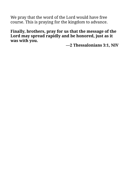We pray that the word of the Lord would have free course. This is praying for the kingdom to advance.

**Finally, brothers, pray for us that the message of the Lord may spread rapidly and be honored, just as it was with you.**

**—2 Thessalonians 3:1, NIV**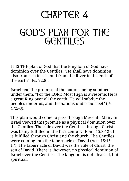### <span id="page-22-0"></span>CHAPTER 4

### GOD'S PLAN FOR THE GENTILES

IT IS THE plan of God that the kingdom of God have dominion over the Gentiles. "He shall have dominion also from sea to sea, and from the River to the ends of the earth" (Ps. 72:8).

Israel had the promise of the nations being subdued under them. "For the LORD Most High is awesome; He is a great King over all the earth. He will subdue the peoples under us, and the nations under our feet" (Ps. 47:2-3).

This plan would come to pass through Messiah. Many in Israel viewed this promise as a physical dominion over the Gentiles. The rule over the Gentiles through Christ was being fulfilled in the first century (Rom. 15:8-12). It is fulfilled through Christ and the church. The Gentiles were coming into the tabernacle of David (Acts 15:15- 17). The tabernacle of David was the rule of Christ, the son of David. There is, however, no physical dominion of Israel over the Gentiles. The kingdom is not physical, but spiritual.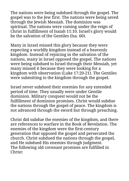The nations were being subdued through the gospel. The gospel was to the Jew first. The nations were being saved through the Jewish Messiah. The dominion was spiritual. The nations were coming under the reign of Christ in fulfillment of Isaiah 11:10. Israel's glory would be the salvation of the Gentiles (Isa. 60).

Many in Israel missed this glory because they were expecting a worldly kingdom instead of a heavenly kingdom. Instead of rejoicing in the salvation of the nations, many in Israel opposed the gospel. The nations were being subdued to Israel through their Messiah, yet many missed it because they were looking for a kingdom with observation (Luke 17:20-21). The Gentiles were submitting to the kingdom through the gospel.

Israel never subdued their enemies for any extended period of time. They usually were under Gentile dominion. Military conquest would not be the fulfillment of dominion promises. Christ would subdue the nations through the gospel of peace. The kingdom is not advanced through the sword but through preaching.

Christ did subdue the enemies of the kingdom, and there are references to warfare in the Book of Revelation. The enemies of the kingdom were the first-century generation that opposed the gospel and persecuted the church. Christ subdued the nations through the gospel, and He subdued His enemies through judgment. The following old covenant promises are fulfilled in Christ: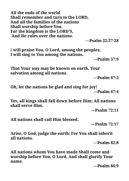**All the ends of the world Shall remember and turn to the LORD, And all the families of the nations Shall worship before You. For the kingdom is the LORD'S, And He rules over the nations.**

**—Psalm 22:27-28**

I **will praise You, O Lord, among the peoples; I will sing to You among the nations.**

**—Psalm 57:9**

**That Your way may be known on earth, Your salvation among all nations.**

**—Psalm 67:2**

**Oh, let the nations be glad and sing for joy! —Psalm 67:4**

**Yes, all kings shall fall down before Him; All nations shall serve Him.**

**—Psalm 72:11**

**All nations shall call Him blessed.**

**—Psalm 72:17**

**Arise, O God, judge the earth; For You shall inherit all nations.**

**—Psalm 82:8**

**All nations whom You have made Shall come and worship before You, O Lord, And shall glorify Your name.**

**—Psalm 86:9**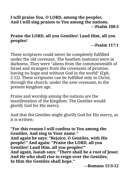#### **I will praise You, O LORD, among the peoples, And I will sing praises to You among the nations. —Psalm 108:3**

#### **Praise the LORD, all you Gentiles! Laud Him, all you peoples!**

#### **—Psalm 117:1**

These scriptures could never be completely fulfilled under the old covenant. The heathen (nations) were in darkness. They were "aliens from the commonwealth of Israel and strangers from the covenants of promise, having no hope and without God in the world" (Eph. 2:12). These scriptures can be fulfilled only in Christ, through the church, under the new covenant, in the present kingdom age.

Praise and worship among the nations are the manifestation of the kingdom. The Gentiles would glorify God for His mercy.

And that the Gentiles might glorify God for His mercy, as it is written:

**"For this reason I will confess to You among the Gentiles, And sing to Your name." And again he says: "Rejoice, O Gentiles, with His people!" And again: "Praise the LORD, all you Gentiles! Laud Him, all you peoples!" And again, Isaiah says: "There shall be a root of Jesse; And He who shall rise to reign over the Gentiles, In Him the Gentiles shall hope."**

**—Romans 15:9-12**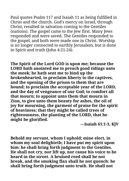Paul quotes Psalm 117 and Isaiah 11 as being fulfilled in Christ and the church. God's mercy on Israel, through Christ, resulted in salvation coming to the Gentiles (nations). The gospel came to the Jew first. Many Jews responded and were saved. The Gentiles responded to the gospel, and both were made one in Christ. Worship is no longer connected to earthly Jerusalem, but is done in Spirit and truth (John 4:21-24).

**The Spirit of the Lord GOD is upon me; because the LORD hath anointed me to preach good tidings unto the meek; he hath sent me to bind up the brokenhearted, to proclaim liberty to the captives, and the opening of the prison to them that are bound; to proclaim the acceptable year of the LORD, and the day of vengeance of our God; to comfort all that mourn; to appoint unto them that mourn in Zion, to give unto them beauty for ashes, the oil of joy for mourning, the garment of praise for the spirit of heaviness; that they might be called trees of righteousness, the planting of the LORD, that he might be glorified.**

**—Isaiah 61:1-3, KJV**

**Behold my servant, whom I uphold; mine elect, in whom my soul delighteth; I have put my spirit upon him: he shall bring forth judgment to the Gentiles. He shall not cry, nor lift up, nor cause his voice to be heard in the street. A bruised reed shall he not break, and the smoking flax shall he not quench: he shall bring forth judgment unto truth. He shall not**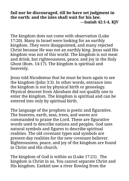#### **fail nor be discouraged, till he have set judgment in the earth: and the isles shall wait for his law. —Isaiah 42:1-4, KJV**

The kingdom does not come with observation (Luke 17:20). Many in Israel were looking for an earthly kingdom. They were disappointed, and many rejected Christ because He was not an earthly king. Jesus said His kingdom was not of this world. The kingdom is not meat and drink, but righteousness, peace, and joy in the Holy Ghost (Rom. 14:17). The kingdom is spiritual and heavenly.

Jesus told Nicodemus that he must be born again to see the kingdom (John 3:3). In other words, entrance into the kingdom is not by physical birth or genealogy. Physical descent from Abraham did not qualify one to enter the kingdom. The kingdom is spiritual and can be entered into only by spiritual birth.

The language of the prophets is poetic and figurative. The heavens, earth, seas, trees, and waves are commanded to praise the Lord. These are figurative words used to describe nations and peoples. God uses natural symbols and figures to describe spiritual realities. The old covenant types and symbols are present-day realities for the new covenant believer. Righteousness, peace, and joy of the kingdom are found in Christ and His church.

The kingdom of God is within us (Luke 17:21). The kingdom is Christ in us. You cannot separate Christ and His kingdom. Ezekiel saw a river flowing from the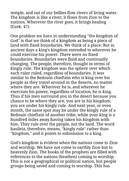temple, and out of our bellies flow rivers of living water. The kingdom is like a river; it flows from Zion to the nations. Wherever the river goes, it brings healing (Ezek. 47).

One problem we have in understanding "the kingdom of God" is that we think of a kingdom as being a piece of land with fixed boundaries. We think of a place. But in ancient days a king's kingdom extended to wherever he could exercise his power. There were no fixed boundaries. Boundaries were fluid and continually changing. The people, therefore, thought in terms of kingly rule. The kingdom was the sphere over which each ruler ruled, regardless of boundaries. It was similar to the Bedouin chieftain who is king over his people as they travel around in the deserts, no matter where they are. Wherever he is, and wherever he exercises his power, regardless of location, he is king. Thus if his men surround you in the desert because you chance to be where they are, you are in his kingdom; you are under his kingly rule. And next year, or even month, the same spot may be under the kingly rule of a Bedouin chieftain of another tribe, while your king is a hundred miles away having taken his kingdom with him. They rule over the people, not the land. The word basileia, therefore, means, "kingly rule" rather than "kingdom," and it points to submission to a king.

God's kingdom is evident when the nations come to Zion and worship. We have not come to earthly Zion but to heavenly Zion. The books of the prophets are filled with references to the nations (heathen) coming to worship. This is not a geographical or political nation, but people groups being saved and coming to worship. This has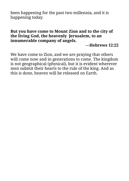been happening for the past two millennia, and it is happening today.

#### **But you have come to Mount Zion and to the city of the living God, the heavenly Jerusalem, to an innumerable company of angels.**

**—Hebrews 12:22**

We have come to Zion, and we are praying that others will come now and in generations to come. The kingdom is not geographical (physical), but it is evident wherever men submit their hearts to the rule of the king. And as this is done, heaven will be released on Earth.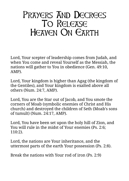#### <span id="page-30-0"></span>Prayers And Decrees To Release HEAVEN ON EARTH

Lord, Your scepter of leadership comes from Judah, and when You come and reveal Yourself as the Messiah, the nations will gather to You in obedience (Gen. 49:10, AMP).

Lord, Your kingdom is higher than Agag (the kingdom of the Gentiles), and Your kingdom is exalted above all others (Num. 24:7, AMP).

Lord, You are the Star out of Jacob, and You smote the corners of Moab (symbolic enemies of Christ and His church) and destroyed the children of Seth (Moab's sons of tumult) (Num. 24:17, AMP).

Lord, You have been set upon the holy hill of Zion, and You will rule in the midst of Your enemies (Ps. 2:6; 110:2).

Lord, the nations are Your inheritance, and the uttermost parts of the earth Your possession (Ps. 2:8).

Break the nations with Your rod of iron (Ps. 2:9)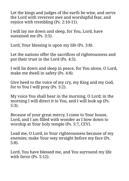Let the kings and judges of the earth be wise, and serve the Lord with reverent awe and worshipful fear, and rejoice with trembling (Ps. 2:10-11).

I will lay me down and sleep, for You, Lord, have sustained me (Ps. 3:5).

Lord, Your blessing is upon my life (Ps. 3:8).

Let the nations offer the sacrifices of righteousness and put their trust in the Lord (Ps. 4:5).

I will lie down and sleep in peace, for You alone, O Lord, make me dwell in safety (Ps. 4:8).

Give heed to the voice of my cry, my King and my God, for to You I will pray (Ps. 5:2).

My voice You shall hear in the morning, O Lord; in the morning I will direct it to You, and I will look up (Ps. 5:3).

Because of your great mercy, I come to Your house, Lord, and I am filled with wonder as I bow down to worship at Your holy temple (Ps. 5:7, CEV).

Lead me, O Lord, in Your righteousness because of my enemies; make Your way straight before my face (Ps. 5:8).

Lord, You have blessed me, and You surround my life with favor (Ps. 5:12).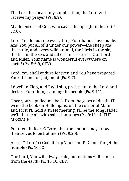The Lord has heard my supplication; the Lord will receive my prayer (Ps. 6:9).

My defense is of God, who saves the upright in heart (Ps. 7:10).

Lord, You let us rule everything Your hands have made. And You put all of it under our power—the sheep and the cattle, and every wild animal, the birds in the sky, the fish in the sea, and all ocean creatures. Our Lord and Ruler, Your name is wonderful everywhere on earth! (Ps. 8:6-9, CEV).

Lord, You shall endure forever, and You have prepared Your throne for judgment (Ps. 9:7).

I dwell in Zion, and I will sing praises unto the Lord and declare Your doings among the people (Ps. 9:11).

Once you've pulled me back from the gates of death, I'll write the book on Hallelujahs; on the corner of Main and First I'll hold a street meeting; I'll be the song leader; we'll fill the air with salvation songs (Ps. 9:13-14, THE MESSAGE).

Put them in fear, O Lord, that the nations may know themselves to be but men (Ps. 9:20).

Arise, O Lord! O God, lift up Your hand! Do not forget the humble (Ps. 10:12).

Our Lord, You will always rule, but nations will vanish from the earth (Ps. 10:16, CEV).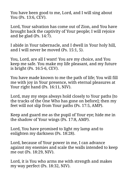You have been good to me, Lord, and I will sing about You (Ps. 13:6, CEV).

Lord, Your salvation has come out of Zion, and You have brought back the captivity of Your people; I will rejoice and be glad (Ps.  $14:\overline{7}$ ).

I abide in Your tabernacle, and I dwell in Your holy hill, and I will never be moved (Ps. 15:1, 5).

You, Lord, are all I want! You are my choice, and You keep me safe. You make my life pleasant, and my future is bright (Ps. 16:5-6, CEV).

You have made known to me the path of life; You will fill me with joy in Your presence, with eternal pleasures at Your right hand (Ps. 16:11, NIV).

Lord, may my steps always hold closely to Your paths [to the tracks of the One Who has gone on before]; then my feet will not slip from Your paths (Ps. 17:5, AMP).

Keep and guard me as the pupil of Your eye; hide me in the shadow of Your wings (Ps. 17:8, AMP).

Lord, You have promised to light my lamp and to enlighten my darkness (Ps. 18:28).

Lord, because of Your power in me, I can advance against my enemies and scale the walls intended to keep me out (Ps. 18:29, NIV).

Lord, it is You who arms me with strength and makes my way perfect (Ps. 18:32, NIV).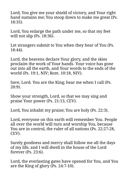Lord, You give me your shield of victory, and Your right hand sustains me; You stoop down to make me great (Ps. 18:35).

Lord, You enlarge the path under me, so that my feet will not slip (Ps. 18:36).

Let strangers submit to You when they hear of You (Ps. 18:44).

Lord, the heavens declare Your glory, and the skies proclaim the work of Your hands. Your voice has gone out into all the earth, and Your words to the ends of the world (Ps. 19:1, NIV; Rom. 10:18, NIV).

Save, Lord. You are the King; hear me when I call (Ps. 20:9).

Show your strength, Lord, so that we may sing and praise Your power (Ps. 21:13, CEV).

Lord, You inhabit my praise; You are holy (Ps. 22:3).

Lord, everyone on this earth will remember You. People all over the world will turn and worship You, because You are in control, the ruler of all nations (Ps. 22:27-28, CEV).

Surely goodness and mercy shall follow me all the days of my life, and I will dwell in the house of the Lord forever (Ps. 23:6).

Lord, the everlasting gates have opened for You, and You are the King of glory (Ps. 24:7-10).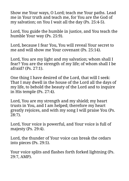Show me Your ways, O Lord; teach me Your paths. Lead me in Your truth and teach me, for You are the God of my salvation; on You I wait all the day (Ps. 25:4-5).

Lord, You guide the humble in justice, and You teach the humble Your way (Ps. 25:9).

Lord, because I fear You, You will reveal Your secret to me and will show me Your covenant (Ps. 25:14).

Lord, You are my light and my salvation; whom shall I fear? You are the strength of my life; of whom shall I be afraid? (Ps. 27:1).

One thing I have desired of the Lord, that will I seek: That I may dwell in the house of the Lord all the days of my life, to behold the beauty of the Lord and to inquire in His temple (Ps. 27:4).

Lord, You are my strength and my shield; my heart trusts in You, and I am helped; therefore my heart greatly rejoices, and with my song I will praise You (Ps. 28:7).

Lord, Your voice is powerful, and Your voice is full of majesty (Ps. 29:4).

Lord, the thunder of Your voice can break the cedars into pieces (Ps. 29:5).

Your voice splits and flashes forth forked lightning (Ps. 29:7, AMP).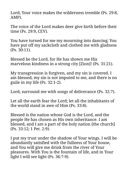Lord, Your voice makes the wilderness tremble (Ps. 29:8, AMP).

The voice of the Lord makes deer give birth before their time (Ps. 29:9, CEV).

You have turned for me my mourning into dancing; You have put off my sackcloth and clothed me with gladness (Ps. 30:11).

Blessed be the Lord, for He has shown me His marvelous kindness in a strong city [Zion]! (Ps. 31:21).

My transgression is forgiven, and my sin is covered. I am blessed, my sin is not imputed to me, and there is no guile in my life (Ps. 32:1-2).

Lord, surround me with songs of deliverance (Ps. 32:7).

Let all the earth fear the Lord; let all the inhabitants of the world stand in awe of Him (Ps. 33:8).

Blessed is the nation whose God is the Lord, and the people He has chosen as His own inheritance. I am blessed, and I am a part of the holy nation [the church] (Ps. 33:12; 1 Pet. 2:9).

I put my trust under the shadow of Your wings. I will be abundantly satisfied with the fullness of Your house, and You will give me drink from the river of Your pleasures. With You is the fountain of life, and in Your light I will see light (Ps. 36:7-9).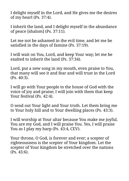I delight myself in the Lord, and He gives me the desires of my heart (Ps. 37:4).

I inherit the land, and I delight myself in the abundance of peace [shalom] (Ps. 37:11).

Let me not be ashamed in the evil time, and let me be satisfied in the days of famine (Ps. 37:19).

I will wait on You, Lord, and keep Your way; let me be exalted to inherit the land (Ps. 37:34).

Lord, put a new song in my mouth, even praise to You, that many will see it and fear and will trust in the Lord (Ps. 40:3).

I will go with Your people to the house of God with the voice of joy and praise; I will join with them that keep Your festival (Ps. 42:4).

O send out Your light and Your truth. Let them bring me to Your holy hill and to Your dwelling places (Ps. 43:3).

I will worship at Your altar because You make me joyful. You are my God, and I will praise You. Yes, I will praise You as I play my harp (Ps. 43:4, CEV).

Your throne, O God, is forever and ever; a scepter of righteousness is the scepter of Your kingdom. Let the scepter of Your kingdom be stretched over the nations (Ps. 45:6).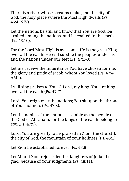There is a river whose streams make glad the city of God, the holy place where the Most High dwells (Ps. 46:4, NIV).

Let the nations be still and know that You are God; be exalted among the nations, and be exalted in the earth (Ps. 46:10).

For the Lord Most High is awesome; He is the great King over all the earth. He will subdue the peoples under us, and the nations under our feet (Ps. 47:2-3).

Let me receive the inheritance You have chosen for me, the glory and pride of Jacob, whom You loved (Ps. 47:4, AMP).

I will sing praises to You, O Lord, my king. You are king over all the earth (Ps. 47:7).

Lord, You reign over the nations; You sit upon the throne of Your holiness (Ps. 47:8).

Let the nobles of the nations assemble as the people of the God of Abraham, for the kings of the earth belong to You (Ps. 47:9).

Lord, You are greatly to be praised in Zion [the church], the city of God, the mountain of Your holiness (Ps. 48:1).

Let Zion be established forever (Ps. 48:8).

Let Mount Zion rejoice, let the daughters of Judah be glad, because of Your judgments (Ps. 48:11).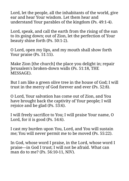Lord, let the people, all the inhabitants of the world, give ear and hear Your wisdom. Let them hear and understand Your parables of the kingdom (Ps. 49:1-4).

Lord, speak, and call the earth from the rising of the sun to its going down; out of Zion, let the perfection of Your beauty shine forth (Ps. 50:1-2).

O Lord, open my lips, and my mouth shall show forth Your praise (Ps. 51:15).

Make Zion [the church] the place you delight in; repair Jerusalem's broken-down walls (Ps. 51:18, THE MESSAGE).

But I am like a green olive tree in the house of God; I will trust in the mercy of God forever and ever (Ps. 52:8).

O Lord, Your salvation has come out of Zion, and You have brought back the captivity of Your people; I will rejoice and be glad (Ps. 53:6).

I will freely sacrifice to You; I will praise Your name, O Lord, for it is good (Ps. 54:6).

I cast my burden upon You, Lord, and You will sustain me; You will never permit me to be moved (Ps. 55:22).

In God, whose word I praise, in the Lord, whose word I praise—in God I trust; I will not be afraid. What can man do to me? (Ps. 56:10-11, NIV).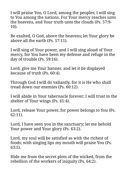I will praise You, O Lord, among the peoples; I will sing to You among the nations. For Your mercy reaches unto the heavens, and Your truth unto the clouds (Ps. 57:9- 10).

Be exalted, O God, above the heavens; let Your glory be above all the earth (Ps. 57:11).

I will sing of Your power, and I will sing aloud of Your mercy, for You have been my defense and refuge in the day of trouble (Ps. 59:16).

Lord, give me Your banner, and let it be displayed because of truth (Ps. 60:4).

Through God I will do valiantly, for it is He who shall tread down our enemies (Ps. 60:12).

I will abide in Your tabernacle forever; I will trust in the shelter of Your wings (Ps. 61:4).

Lord, release Your power, for power belongs to You (Ps. 62:11).

Lord, I have seen you in the sanctuary; let me behold Your power and Your glory (Ps. 63:2).

Lord, my soul will be satisfied as with the richest of foods; with singing lips my mouth will praise You (Ps. 63:5).

Hide me from the secret plots of the wicked, from the rebellion of the workers of iniquity (Ps. 64:2).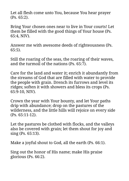Let all flesh come unto You, because You hear prayer (Ps. 65:2).

Bring Your chosen ones near to live in Your courts! Let them be filled with the good things of Your house (Ps. 65:4, NIV).

Answer me with awesome deeds of righteousness (Ps. 65:5).

Still the roaring of the seas, the roaring of their waves, and the turmoil of the nations (Ps. 65:7).

Care for the land and water it; enrich it abundantly from the streams of God that are filled with water to provide the people with grain. Drench its furrows and level its ridges; soften it with showers and bless its crops (Ps. 65:9-10, NIV).

Crown the year with Your bounty, and let Your paths drip with abundance; drop on the pastures of the wilderness, and the little hills will rejoice on every side (Ps. 65:11-12).

Let the pastures be clothed with flocks, and the valleys also be covered with grain; let them shout for joy and sing (Ps. 65:13).

Make a joyful shout to God, all the earth (Ps. 66:1).

Sing out the honor of His name; make His praise glorious (Ps. 66:2).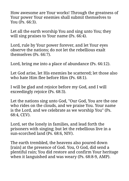How awesome are Your works! Through the greatness of Your power Your enemies shall submit themselves to You (Ps. 66:3).

Let all the earth worship You and sing unto You; they will sing praises to Your name (Ps. 66:4).

Lord, rule by Your power forever, and let Your eyes observe the nations; do not let the rebellious exalt themselves (Ps. 66:7).

Lord, bring me into a place of abundance (Ps. 66:12).

Let God arise, let His enemies be scattered; let those also who hate Him flee before Him (Ps. 68:1).

I will be glad and rejoice before my God, and I will exceedingly rejoice (Ps. 68:3).

Let the nations sing unto God, "Our God, You are the one who rides on the clouds, and we praise You. Your name is the Lord, and we celebrate as we worship You" (Ps. 68:4, CEV).

Lord, set the lonely in families, and lead forth the prisoners with singing; but let the rebellious live in a sun-scorched land (Ps. 68:6, NIV).

The earth trembled, the heavens also poured down [rain] at the presence of God. You, O God, did send a plentiful rain; You did restore and confirm Your heritage when it languished and was weary (Ps. 68:8-9, AMP).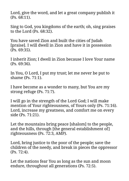Lord, give the word, and let a great company publish it (Ps. 68:11).

Sing to God, you kingdoms of the earth; oh, sing praises to the Lord (Ps. 68:32).

You have saved Zion and built the cities of Judah [praise]. I will dwell in Zion and have it in possession (Ps. 69:35).

I inherit Zion; I dwell in Zion because I love Your name (Ps. 69:36).

In You, O Lord, I put my trust; let me never be put to shame (Ps. 71:1).

I have become as a wonder to many, but You are my strong refuge (Ps. 71:7).

I will go in the strength of the Lord God; I will make mention of Your righteousness, of Yours only (Ps. 71:16). Lord, increase my greatness, and comfort me on every side (Ps. 71:21).

Let the mountains bring peace [shalom] to the people, and the hills, through [the general establishment of] righteousness (Ps. 72:3, AMP).

Lord, bring justice to the poor of the people; save the children of the needy, and break in pieces the oppressor (Ps. 72:4).

Let the nations fear You as long as the sun and moon endure, throughout all generations (Ps. 72:5).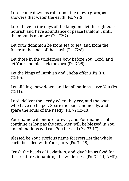Lord, come down as rain upon the mown grass, as showers that water the earth (Ps. 72:6).

Lord, I live in the days of the kingdom; let the righteous nourish and have abundance of peace [shalom], until the moon is no more (Ps. 72:7).

Let Your dominion be from sea to sea, and from the River to the ends of the earth (Ps. 72:8).

Let those in the wilderness bow before You, Lord, and let Your enemies lick the dust (Ps. 72:9).

Let the kings of Tarshish and Sheba offer gifts (Ps. 72:10).

Let all kings bow down, and let all nations serve You (Ps. 72:11).

Lord, deliver the needy when they cry, and the poor who have no helper. Spare the poor and needy, and spare the souls of the needy (Ps. 72:12-13).

Your name will endure forever, and Your name shall continue as long as the sun. Men will be blessed in You, and all nations will call You blessed (Ps. 72:17).

Blessed be Your glorious name forever! Let the whole earth be rilled with Your glory (Ps. 72:19).

Crush the heads of Leviathan, and give him as food for the creatures inhabiting the wilderness (Ps. 74:14, AMP).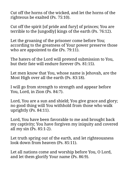Cut off the horns of the wicked, and let the horns of the righteous be exalted (Ps. 75:10).

Cut off the spirit [of pride and fury] of princes; You are terrible to the [ungodly] kings of the earth (Ps. 76:12).

Let the groaning of the prisoner come before You; according to the greatness of Your power preserve those who are appointed to die (Ps. 79:11).

The haters of the Lord will pretend submission to You, but their fate will endure forever (Ps. 81:15).

Let men know that You, whose name is Jehovah, are the Most High over all the earth (Ps. 83:18).

I will go from strength to strength and appear before You, Lord, in Zion (Ps. 84:7).

Lord, You are a sun and shield; You give grace and glory; no good thing will You withhold from those who walk uprightly (Ps. 84:11).

Lord, You have been favorable to me and brought back my captivity; You have forgiven my iniquity and covered all my sin (Ps. 85:1-2).

Let truth spring out of the earth, and let righteousness look down from heaven (Ps. 85:11).

Let all nations come and worship before You, O Lord, and let them glorify Your name (Ps. 86:9).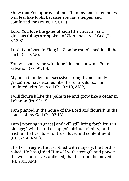Show that You approve of me! Then my hateful enemies will feel like fools, because You have helped and comforted me (Ps. 86:17, CEV).

Lord, You love the gates of Zion [the church], and glorious things are spoken of Zion, the city of God (Ps. 87:2-3).

Lord, I am born in Zion; let Zion be established in all the earth (Ps. 87:5).

You will satisfy me with long life and show me Your salvation (Ps. 91:16).

My horn (emblem of excessive strength and stately grace) You have exalted like that of a wild ox; I am anointed with fresh oil (Ps. 92:10, AMP).

I will flourish like the palm tree and grow like a cedar in Lebanon (Ps. 92:12).

I am planted in the house of the Lord and flourish in the courts of my God (Ps. 92:13).

I am [growing in grace] and will still bring forth fruit in old age; I will be full of sap [of spiritual vitality] and [rich in the] verdure [of trust, love, and contentment] (Ps. 92:14, AMP).

The Lord reigns, He is clothed with majesty; the Lord is robed, He has girded Himself with strength and power; the world also is established, that it cannot be moved (Ps. 93:1, AMP).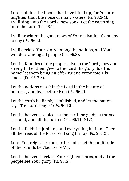Lord, subdue the floods that have lifted up, for You are mightier than the noise of many waters (Ps. 93:3-4). I will sing unto the Lord a new song. Let the earth sing unto the Lord (Ps. 96:1).

I will proclaim the good news of Your salvation from day to day (Ps. 96:2).

I will declare Your glory among the nations, and Your wonders among all people (Ps. 96:3).

Let the families of the peoples give to the Lord glory and strength. Let them give to the Lord the glory due His name; let them bring an offering and come into His courts (Ps. 96:7-8).

Let the nations worship the Lord in the beauty of holiness, and fear before Him (Ps. 96:9).

Let the earth be firmly established, and let the nations say, "The Lord reigns" (Ps. 96:10).

Let the heavens rejoice, let the earth be glad; let the sea resound, and all that is in it (Ps. 96:11, NIV).

Let the fields be jubilant, and everything in them. Then all the trees of the forest will sing for joy (Ps. 96:12).

Lord, You reign. Let the earth rejoice; let the multitude of the islands be glad (Ps. 97:1).

Let the heavens declare Your righteousness, and all the people see Your glory (Ps. 97:6).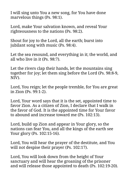I will sing unto You a new song, for You have done marvelous things (Ps. 98:1).

Lord, make Your salvation known, and reveal Your righteousness to the nations (Ps. 98:2).

Shout for joy to the Lord, all the earth; burst into jubilant song with music (Ps. 98:4).

Let the sea resound, and everything in it; the world, and all who live in it (Ps. 98:7).

Let the rivers clap their hands, let the mountains sing together for joy; let them sing before the Lord (Ps. 98:8-9, NIV).

Lord, You reign; let the people tremble, for You are great in Zion (Ps. 99:1-2).

Lord, Your word says that it is the set, appointed time to favor Zion. As a citizen of Zion, I declare that I walk in the favor of God. It is the appointed time for Your favor to abound and increase toward me (Ps. 102:13).

Lord, build up Zion and appear in Your glory, so the nations can fear You, and all the kings of the earth see Your glory (Ps. 102:15-16).

Lord, You will hear the prayer of the destitute, and You will not despise their prayer (Ps. 102:17).

Lord, You will look down from the height of Your sanctuary and will hear the groaning of the prisoner and will release those appointed to death (Ps. 102:19-20).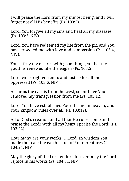I will praise the Lord from my inmost being, and I will forget not all His benefits (Ps. 103:2).

Lord, You forgive all my sins and heal all my diseases (Ps. 103:3, NIV).

Lord, You have redeemed my life from the pit, and You have crowned me with love and compassion (Ps. 103:4, NIV).

You satisfy my desires with good things, so that my youth is renewed like the eagle's (Ps. 103:5).

Lord, work righteousness and justice for all the oppressed (Ps. 103:6, NIV).

As far as the east is from the west, so far have You removed my transgression from me (Ps. 103:12).

Lord, You have established Your throne in heaven, and Your kingdom rules over all (Ps. 103:19).

All of God's creation and all that He rules, come and praise the Lord! With all my heart I praise the Lord! (Ps. 103:22).

How many are your works, O Lord! In wisdom You made them all; the earth is full of Your creatures (Ps. 104:24, NIV).

May the glory of the Lord endure forever; may the Lord rejoice in his works (Ps. 104:31, NIV).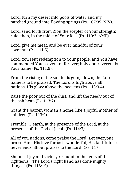Lord, turn my desert into pools of water and my parched ground into flowing springs (Ps. 107:35, NIV).

Lord, send forth from Zion the scepter of Your strength; rule, then, in the midst of Your foes (Ps. 110:2, AMP).

Lord, give me meat, and be ever mindful of Your covenant (Ps. 111:5).

Lord, You sent redemption to Your people, and You have commanded Your covenant forever; holy and reverent is Your name (Ps. 111:9).

From the rising of the sun to its going down, the Lord's name is to be praised. The Lord is high above all nations, His glory above the heavens (Ps. 113:3-4).

Raise the poor out of the dust, and lift the needy out of the ash heap (Ps. 113:7).

Grant the barren woman a home, like a joyful mother of children (Ps. 113:9).

Tremble, O earth, at the presence of the Lord, at the presence of the God of Jacob (Ps. 114:7).

All of you nations, come praise the Lord! Let everyone praise Him. His love for us is wonderful; His faithfulness never ends. Shout praises to the Lord! (Ps. 117).

Shouts of joy and victory resound in the tents of the righteous: "The Lord's right hand has done mighty things!" (Ps. 118:15).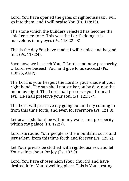Lord, You have opened the gates of righteousness; I will go into them, and I will praise You (Ps. 118:19).

The stone which the builders rejected has become the chief cornerstone. This was the Lord's doing; it is marvelous in my eyes (Ps. 118:22-23).

This is the day You have made; I will rejoice and be glad in it (Ps. 118:24).

Save now, we beseech You, O Lord; send now prosperity, O Lord, we beseech You, and give to us success! (Ps. 118:25, AMP).

The Lord is your keeper; the Lord is your shade at your right hand. The sun shall not strike you by day, nor the moon by night. The Lord shall preserve you from all evil; He shall preserve your soul (Ps. 121:5-7).

The Lord will preserve my going out and my coming in from this time forth, and even forevermore (Ps. 121:8).

Let peace [shalom] be within my walls, and prosperity within my palace (Ps. 122:7).

Lord, surround Your people as the mountains surround Jerusalem, from this time forth and forever (Ps. 125:2).

Let Your priests be clothed with righteousness, and let Your saints shout for joy (Ps. 132:9).

Lord, You have chosen Zion [Your church] and have desired it for Your dwelling place. This is Your resting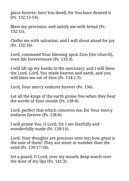place forever; here You dwell, for You have desired it (Ps. 132:13-14).

Bless my provision, and satisfy me with bread (Ps. 132:15).

Clothe me with salvation, and I will shout aloud for joy (Ps. 132:16).

Lord, command Your blessing upon Zion [the church], even life forevermore (Ps. 133:3).

I will lift up my hands in the sanctuary, and I will bless the Lord. Lord, You made heaven and earth, and you will bless me out of Zion (Ps. 134:2-3).

Lord, Your mercy endures forever (Ps. 136).

Let all the kings of the earth praise You when they hear the words of Your mouth (Ps. 138:4).

Lord, perfect that which concerns me, for Your mercy endures forever (Ps. 138:8).

I will praise You, O Lord, for I am fearfully and wonderfully made (Ps. 139:14).

Lord, Your thoughts are precious unto me; how great is the sum of them! They are more in number than the sand (Ps. 139:17-18).

Set a guard, O Lord, over my mouth; keep watch over the door of my lips (Ps. 141:3).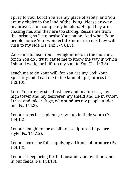I pray to you, Lord! You are my place of safety, and You are my choice in the land of the living. Please answer my prayer. I am completely helpless. Help! They are chasing me, and they are too strong. Rescue me from this prison, so I can praise Your name. And when Your people notice Your wonderful kindness to me, they will rush to my side (Ps. 142:5-7, CEV).

Cause me to hear Your lovingkindness in the morning, for in You do I trust; cause me to know the way in which I should walk, for I lift up my soul to You (Ps. 143:8).

Teach me to do Your will, for You are my God; Your Spirit is good. Lead me in the land of uprightness (Ps. 143:10).

Lord, You are my steadfast love and my fortress, my high tower and my deliverer, my shield and He in whom I trust and take refuge, who subdues my people under me (Ps. 144:2).

Let our sons be as plants grown up in their youth (Ps. 144:12).

Let our daughters be as pillars, sculptured in palace style (Ps. 144:12).

Let our barns be full, supplying all kinds of produce (Ps. 144:13).

Let our sheep bring forth thousands and ten thousands in our fields (Ps. 144:13).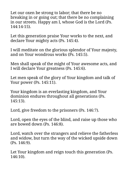Let our oxen be strong to labor; that there be no breaking in or going out; that there be no complaining in our streets. Happy am I, whose God is the Lord (Ps. 144:14-15).

Let this generation praise Your works to the next, and declare Your mighty acts (Ps. 145:4).

I will meditate on the glorious splendor of Your majesty, and on Your wondrous works (Ps. 145:5).

Men shall speak of the might of Your awesome acts, and I will declare Your greatness (Ps. 145:6).

Let men speak of the glory of Your kingdom and talk of Your power (Ps. 145:11).

Your kingdom is an everlasting kingdom, and Your dominion endures throughout all generations (Ps. 145:13).

Lord, give freedom to the prisoners (Ps. 146:7).

Lord, open the eyes of the blind, and raise up those who are bowed down (Ps. 146:8).

Lord, watch over the strangers and relieve the fatherless and widow, but turn the way of the wicked upside down (Ps. 146:9).

Let Your kingdom and reign touch this generation (Ps. 146:10).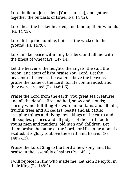Lord, build up Jerusalem [Your church], and gather together the outcasts of Israel (Ps. 147:2).

Lord, heal the brokenhearted, and bind up their wounds (Ps. 147:3).

Lord, lift up the humble, but cast the wicked to the ground (Ps. 147:6).

Lord, make peace within my borders, and fill me with the finest of wheat (Ps. 147:14).

Let the heavens, the heights, the angels, the sun, the moon, and stars of light praise You, Lord. Let the heavens of heavens, the waters above the heavens, praise the name of the Lord: for He commanded, and they were created (Ps. 148:1-5).

Praise the Lord from the earth, you great sea creatures and all the depths; fire and hail, snow and clouds; stormy wind, fulfilling His word; mountains and all hills; fruitful trees and all cedars; beasts and all cattle; creeping things and flying fowl; kings of the earth and all peoples; princes and all judges of the earth; both young men and maidens; old men and children. Let them praise the name of the Lord, for His name alone is exalted; His glory is above the earth and heaven (Ps. 148:7-13).

Praise the Lord! Sing to the Lord a new song, and His praise in the assembly of saints (Ps. 149:1).

I will rejoice in Him who made me. Let Zion be joyful in their King (Ps. 149:2).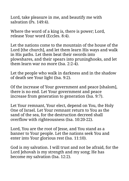Lord, take pleasure in me, and beautify me with salvation (Ps. 149:4).

Where the word of a king is, there is power; Lord, release Your word (Eccles. 8:4).

Let the nations come to the mountain of the house of the Lord [the church], and let them learn His ways and walk in His paths. Let them beat their swords into plowshares, and their spears into pruninghooks, and let them learn war no more (Isa. 2:2-4).

Let the people who walk in darkness and in the shadow of death see Your light (Isa. 9:2).

Of the increase of Your government and peace [shalom], there is no end. Let Your government and peace increase from generation to generation (Isa. 9:7).

Let Your remnant, Your elect, depend on You, the Holy One of Israel. Let Your remnant return to You as the sand of the sea, for the destruction decreed shall overflow with righteousness (Isa. 10:20-22).

Lord, You are the root of Jesse, and You stand as a banner to Your people. Let the nations seek You and enter into Your glorious rest (Isa. 11:10).

God is my salvation. I will trust and not be afraid, for the Lord Jehovah is my strength and my song; He has become my salvation (Isa. 12:2).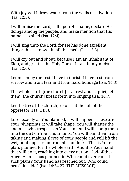With joy will I draw water from the wells of salvation (Isa. 12:3).

I will praise the Lord, call upon His name, declare His doings among the people, and make mention that His name is exalted (Isa. 12:4).

I will sing unto the Lord, for He has done excellent things; this is known in all the earth (Isa. 12:5).

I will cry out and shout, because I am an inhabitant of Zion, and great is the Holy One of Israel in my midst (Isa. 12:6).

Let me enjoy the rest I have in Christ. I have rest from sorrow and from fear and from hard bondage (Isa. 14:3).

The whole earth [the church] is at rest and is quiet; let them [the church] break forth into singing (Isa. 14:7).

Let the trees [the church] rejoice at the fall of the oppressor (Isa. 14:8).

Lord, exactly as You planned, it will happen. These are Your blueprints, it will take shape. You will shatter the enemies who trespass on Your land and will stomp them into the dirt on Your mountains. You will ban them from taking and making slaves of Your people and will lift the weight of oppression from all shoulders. This is Your plan, planned for the whole earth. And it is Your hand that will do it, reaching into every nation. God-of-the-Angel-Armies has planned it. Who could ever cancel such plans? Your hand has reached out. Who could brush it aside? (Isa. 14:24-27, THE MESSAGE).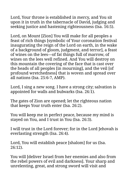Lord, Your throne is established in mercy, and You sit upon it in truth in the tabernacle of David, judging and seeking justice and hastening righteousness (Isa. 16:5).

Lord, on Mount [Zion] You will make for all peoples a feast of rich things [symbolic of Your coronation festival inaugurating the reign of the Lord on earth, in the wake of a background of gloom, judgment, and terror], a feast of wines on the lees—of fat things full of marrow, of wines on the lees well refined. And You will destroy on this mountain the covering of the face that is cast over the heads of all peoples [in mourning], and the veil [of profound wretchedness] that is woven and spread over all nations (Isa. 25:6-7, AMP).

Lord, I sing a new song. I have a strong city; salvation is appointed for walls and bulwarks (Isa. 26:1).

The gates of Zion are opened; let the righteous nation that keeps Your truth enter (Isa. 26:2).

You will keep me in perfect peace, because my mind is stayed on You, and I trust in You (Isa. 26:3).

I will trust in the Lord forever; for in the Lord Jehovah is everlasting strength (Isa. 26:4).

Lord, You will establish peace [shalom] for us (Isa. 26:12).

You will [deliver Israel from her enemies and also from the rebel powers of evil and darkness]. Your sharp and unrelenting, great, and strong sword will visit and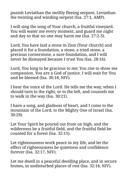punish Leviathan the swiftly fleeing serpent, Leviathan the twisting and winding serpent (Isa. 27:1, AMP).

I will sing the song of Your church, a fruitful vineyard. You will water me every moment, and guard me night and day so that no one may harm me (Isa. 27:2-3).

Lord, You have laid a stone in Zion [Your church] and placed it for a foundation, a stone, a tried stone, a precious cornerstone, a sure foundation, and I will never be dismayed because I trust You (Isa. 28:16).

Lord, You long to be gracious to me; You rise to show me compassion. You are a God of justice. I will wait for You and be blessed (Isa. 30:18, NIV).

I hear the voice of the Lord. He tells me the way, when I should turn to the right, or to the left, and counsels me to walk in the way (Isa. 30:21).

I have a song, and gladness of heart, and I come to the mountain of the Lord, to the Mighty One of Israel (Isa. 30:29).

Let Your Spirit be poured out from on high, and the wilderness be a fruitful field, and the fruitful field be counted for a forest (Isa. 32:15).

Let righteousness work peace in my life, and let the effect of righteousness be quietness and confidence forever (Isa. 32:17, NIV).

Let me dwell in a peaceful dwelling place, and in secure homes, in undisturbed places of rest (Isa. 32:18, NIV).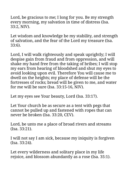Lord, be gracious to me; I long for you. Be my strength every morning, my salvation in time of distress (Isa. 33:2, NIV).

Let wisdom and knowledge be my stability, and strength of salvation, and the fear of the Lord my treasure (Isa. 33:6).

Lord, I will walk righteously and speak uprightly; I will despise gain from fraud and from oppression, and will shake my hand free from the taking of bribes; I will stop my ears from hearing of bloodshed and shut my eyes to avoid looking upon evil. Therefore You will cause me to dwell on the heights; my place of defense will be the fortresses of rocks; bread will be given to me, and water for me will be sure (Isa. 33:15-16, NIV).

Let my eyes see Your beauty, Lord (Isa. 33:17).

Let Your church be as secure as a tent with pegs that cannot be pulled up and fastened with ropes that can never be broken (Isa. 33:20, CEV).

Lord, be unto me a place of broad rivers and streams (Isa. 33:21).

I will not say I am sick, because my iniquity is forgiven (Isa. 33:24).

Let every wilderness and solitary place in my life rejoice, and blossom abundantly as a rose (Isa. 35:1).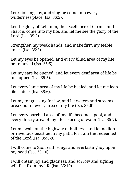Let rejoicing, joy, and singing come into every wilderness place (Isa. 35:2).

Let the glory of Lebanon, the excellence of Carmel and Sharon, come into my life, and let me see the glory of the Lord (Isa. 35:2).

Strengthen my weak hands, and make firm my feeble knees (Isa. 35:3).

Let my eyes be opened, and every blind area of my life be removed (Isa. 35:5).

Let my ears be opened, and let every deaf area of life be unstopped (Isa. 35:5).

Let every lame area of my life be healed, and let me leap like a deer (Isa. 35:6).

Let my tongue sing for joy, and let waters and streams break out in every area of my life (Isa. 35:6).

Let every parched area of my life become a pool, and every thirsty area of my life a spring of water (Isa. 35:7).

Let me walk on the highway of holiness, and let no lion or ravenous beast be in my path, for I am the redeemed of the Lord (Isa. 35:8-9).

I will come to Zion with songs and everlasting joy upon my head (Isa. 35:10).

I will obtain joy and gladness, and sorrow and sighing will flee from my life (Isa. 35:10).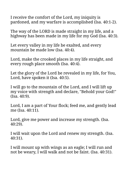I receive the comfort of the Lord, my iniquity is pardoned, and my warfare is accomplished (Isa. 40:1-2).

The way of the LORD is made straight in my life, and a highway has been made in my life for my God (Isa. 40:3).

Let every valley in my life be exalted, and every mountain be made low (Isa. 40:4).

Lord, make the crooked places in my life straight, and every rough place smooth (Isa. 40:4).

Let the glory of the Lord be revealed in my life, for You, Lord, have spoken it (Isa. 40:5).

I will go to the mountain of the Lord, and I will lift up my voice with strength and declare, "Behold your God!" (Isa. 40:9).

Lord, I am a part of Your flock; feed me, and gently lead me (Isa. 40:11).

Lord, give me power and increase my strength. (Isa. 40:29).

I will wait upon the Lord and renew my strength. (Isa. 40:31).

I will mount up with wings as an eagle; I will run and not be weary, I will walk and not be faint. (Isa. 40:31).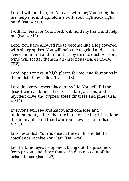Lord, I will not fear, for You are with me; You strengthen me, help me, and uphold me with Your righteous right hand (Isa. 41:10).

I will not fear, for You, Lord, will hold my hand and help me (Isa. 41:13).

Lord, You have allowed me to become like a log covered with sharp spikes. You will help me to grind and crush every mountain and hill until they turn to dust. A strong wind will scatter them in all directions (Isa. 41:15-16, CEV).

Lord, open rivers in high places for me, and fountains in the midst of my valley (Isa. 41:18).

Lord, in every desert place in my life, You will fill the desert with all kinds of trees—cedars, acacias, and myrtles; olive and cypress trees; fir trees and pines (Isa. 41:19).

Everyone will see and know, and consider and understand together, that the hand of the Lord has done this in my life, and that I am Your new creation (Isa. 41:20).

Lord, establish Your justice in the earth, and let the coastlands receive Your law (Isa. 42:4).

Let the blind eyes be opened, bring out the prisoners from prison, and those that sit in darkness out of the prison house (Isa. 42:7).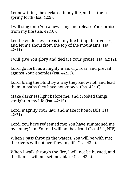Let new things be declared in my life, and let them spring forth (Isa. 42:9).

I will sing unto You a new song and release Your praise from my life (Isa. 42:10).

Let the wilderness areas in my life lift up their voices, and let me shout from the top of the mountains (Isa. 42:11).

I will give You glory and declare Your praise (Isa. 42:12).

Lord, go forth as a mighty man; cry, roar, and prevail against Your enemies (Isa. 42:13).

Lord, bring the blind by a way they know not, and lead them in paths they have not known. (Isa. 42:16).

Make darkness light before me, and crooked things straight in my life (Isa. 42:16).

Lord, magnify Your law, and make it honorable (Isa. 42:21).

Lord, You have redeemed me; You have summoned me by name; I am Yours. I will not be afraid (Isa. 43:1, NIV).

When I pass through the waters, You will be with me; the rivers will not overflow my life (Isa. 43:2).

When I walk through the fire, I will not be burned, and the flames will not set me ablaze (Isa. 43:2).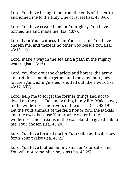Lord, You have brought me from the ends of the earth and ioined me to the Holy One of Israel (Isa. 43:3-6).

Lord, You have created me for Your glory; You have formed me and made me (Isa. 43:7).

Lord, I am Your witness, I am Your servant, You have chosen me, and there is no other God beside You (Isa. 43:10-11).

Lord, make a way in the sea and a path in the mighty waters (Isa. 43:16).

Lord, You drew out the chariots and horses, the army and reinforcements together, and they lay there, never to rise again, extinguished, snuffed out like a wick (Isa. 43:17, NIV).

Lord, help me to forget the former things and not to dwell on the past. Do a new thing in my life. Make a way in the wilderness and rivers in the desert (Isa. 43:19). Let the wild animals of the field honor You, the jackals and the owls, because You provide water in the wilderness and streams in the wasteland to give drink to me, Your chosen (Isa. 43:20).

Lord, You have formed me for Yourself, and I will show forth Your praise (Isa. 43:21).

Lord, You have blotted out my sins for Your sake, and You will not remember my sins (Isa. 43:25).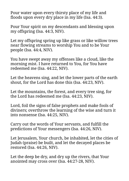Pour water upon every thirsty place of my life and floods upon every dry place in my life (Isa. 44:3).

Pour Your spirit on my descendants and blessing upon my offspring (Isa. 44:3, NIV).

Let my offspring spring up like grass or like willow trees near flowing streams to worship You and to be Your people (Isa. 44:4, NIV).

You have swept away my offenses like a cloud, like the morning mist. I have returned to You, for You have redeemed me (Isa. 44:22, NIV).

Let the heavens sing, and let the lower parts of the earth shout, for the Lord has done this (Isa. 44:23, NIV).

Let the mountains, the forest, and every tree sing, for the Lord has redeemed me (Isa. 44:23, NIV).

Lord, foil the signs of false prophets and make fools of diviners; overthrow the learning of the wise and turn it into nonsense (Isa. 44:25, NIV).

Carry out the words of Your servants, and fulfill the predictions of Your messengers (Isa. 44:26, NIV).

Let Jerusalem, Your church, be inhabited, let the cities of Judah (praise) be built, and let the decayed places be restored (Isa. 44:26, NIV).

Let the deep be dry, and dry up the rivers, that Your anointed may cross over (Isa. 44:27-28, NIV).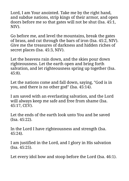Lord, I am Your anointed. Take me by the right hand, and subdue nations, strip kings of their armor, and open doors before me so that gates will not be shut (Isa. 45:1, NIV).

Go before me, and level the mountains, break the gates of brass, and cut through the bars of iron (Isa. 45:2, NIV). Give me the treasures of darkness and hidden riches of secret places (Isa. 45:3, NIV).

Let the heavens rain down, and the skies pour down righteousness. Let the earth open and bring forth salvation, and let righteousness spring up together (Isa. 45:8).

Let the nations come and fall down, saying, "God is in you, and there is no other god" (Isa. 45:14).

I am saved with an everlasting salvation, and the Lord will always keep me safe and free from shame (Isa. 45:17, CEV).

Let the ends of the earth look unto You and be saved (Isa. 45:22).

In the Lord I have righteousness and strength (Isa. 45:24).

I am justified in the Lord, and I glory in His salvation (Isa. 45:25).

Let every idol bow and stoop before the Lord (Isa. 46:1).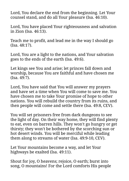Lord, You declare the end from the beginning. Let Your counsel stand, and do all Your pleasure (Isa. 46:10).

Lord, You have placed Your righteousness and salvation in Zion (Isa. 46:13).

Teach me to profit, and lead me in the way I should go (Isa. 48:17).

Lord, You are a light to the nations, and Your salvation goes to the ends of the earth (Isa. 49:6).

Let kings see You and arise; let princes fall down and worship, because You are faithful and have chosen me (Isa. 49:7).

Lord, You have said that You will answer my prayers and have set a time when You will come to save me. You have chosen me to take Your promise of hope to other nations. You will rebuild the country from its ruins, and then people will come and settle there (Isa. 49:8, CEV).

You will set prisoners free from dark dungeons to see the light of day. On their way home, they will find plenty to eat, even on barren hills. They won't go hungry or get thirsty; they won't be bothered by the scorching sun or hot desert winds. You will be merciful while leading them along to streams of water (Isa. 49:9-10, CEV).

Let Your mountains become a way, and let Your highways be exalted (Isa. 49:11).

Shout for joy, O heavens; rejoice, O earth; burst into song, O mountains! For the Lord comforts His people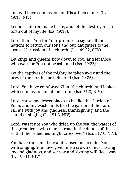and will have compassion on His afflicted ones (Isa. 49:13, NIV).

Let our children make haste, and let the destroyers go forth out of my life (Isa. 49:17).

Lord, thank You for Your promise to signal all the nations to return our sons and our daughters to the arms of Jerusalem [the church] (Isa. 49:22, CEV).

Let kings and queens bow down to You, and let those who wait for You not be ashamed (Isa. 49:23).

Let the captives of the mighty be taken away and the prey of the terrible be delivered (Isa. 49:25).

Lord, You have comforted Zion [the church] and looked with compassion on all her ruins (Isa. 51:3, NIV).

Lord, cause my desert places to be like the Garden of Eden, and my wastelands like the garden of the Lord. Fill me with joy and gladness, thanksgiving, and the sound of singing (Isa. 51:3, NIV).

Lord, was it not You who dried up the sea, the waters of the great deep, who made a road in the depths of the sea so that the redeemed might cross over? (Isa. 51:10, NIV).

You have ransomed me and caused me to enter Zion with singing; You have given me a crown of everlasting joy and gladness, and sorrow and sighing will flee away (Isa. 51:11, NIV).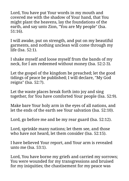Lord, You have put Your words in my mouth and covered me with the shadow of Your hand, that You might plant the heavens, lay the foundations of the earth, and say unto Zion, "You are My people" (Isa. 51:16).

I will awake, put on strength, and put on my beautiful garments, and nothing unclean will come through my life (Isa. 52:1).

I shake myself and loose myself from the bands of my neck, for I am redeemed without money (Isa. 52:2-3).

Let the gospel of the kingdom be preached; let the good tidings of peace be published; I will declare, "My God reigns" (Isa. 52:7).

Let the waste places break forth into joy and sing together, for You have comforted Your people (Isa. 52:9).

Make bare Your holy arm in the eyes of all nations, and let the ends of the earth see Your salvation (Isa. 52:10).

Lord, go before me and be my rear guard (Isa. 52:12).

Lord, sprinkle many nations; let them see, and those who have not heard, let them consider (Isa. 52:15).

I have believed Your report, and Your arm is revealed unto me (Isa. 53:1).

Lord, You have borne my griefs and carried my sorrows; You were wounded for my transgressions and bruised for my iniquities; the chastisement for my peace was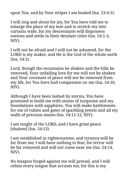upon You, and by Your stripes I am healed (Isa. 53:4-5).

I will sing and shout for joy, for You have told me to enlarge the place of my tent and to stretch my tent curtains wide, for my descendants will dispossess nations and settle in their desolate cities (Isa. 54:1-3, NIV).

I will not be afraid and I will not be ashamed, for the LORD is my maker, and He is the God of the whole earth (Isa. 54:5).

Lord, though the mountains be shaken and the hills be removed, Your unfailing love for me will not be shaken and Your covenant of peace will not be removed from my life, for You have had compassion on me (Isa. 54:10, NIV).

Although I have been lashed by storms, You have promised to build me with stones of turquoise and my foundations with sapphires. You will make battlements for me of rubies and gates of sparkling jewels and all my walls of precious stones (Isa. 54:11-12, NIV).

I am taught of the LORD, and I have great peace [shalom] (Isa. 54:13).

I am established in righteousness, and tyranny-will be far from me; I will have nothing to fear, for terror will be far removed and will not come near me (Isa. 54:14, NIV).

No weapon forged against me will prevail, and I will refute every tongue that accuses me, for this is my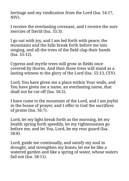heritage and my vindication from the Lord (Isa. 54:17, NIV).

I receive the everlasting covenant, and I receive the sure mercies of David (Isa. 55:3).

I go out with joy, and I am led forth with peace; the mountains and the hills break forth before me into singing, and all the trees of the field clap their hands (Isa. 55:12).

Cypress and myrtle trees will grow in fields once covered by thorns. And then those trees will stand as a lasting witness to the glory of the Lord (Isa. 55:13, CEV).

Lord, You have given me a place within Your walls, and You have given me a name, an everlasting name, that shall not be cut off (Isa. 56:5).

I have come to the mountain of the Lord, and I am joyful in the house of prayer, and I offer to God the sacrifices of praise (Isa. 56:7).

Lord, let my light break forth as the morning, let my health spring forth speedily, let my righteousness go before me, and let You, Lord, be my rear guard (Isa. 58:8).

Lord, guide me continually, and satisfy my soul in drought, and strengthen my bones; let me be like a watered garden and like a spring of water, whose waters fail not (Isa. 58:11).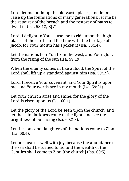Lord, let me build up the old waste places, and let me raise up the foundations of many generations; let me be the repairer of the breach and the restorer of paths to dwell in (Isa. 58:12, KJV).

Lord, I delight in You; cause me to ride upon the high places of the earth, and feed me with the heritage of Jacob, for Your mouth has spoken it (Isa. 58:14).

Let the nations fear You from the west, and Your glory from the rising of the sun (Isa. 59:19).

When the enemy comes in like a flood, the Spirit of the Lord shall lift up a standard against him (Isa. 59:19).

Lord, I receive Your covenant, and Your Spirit is upon me, and Your words are in my mouth (Isa. 59:21).

Let Your church arise and shine, for the glory of the Lord is risen upon us (Isa. 60:1).

Let the glory of the Lord be seen upon the church, and let those in darkness come to the light, and see the brightness of our rising (Isa. 60:2-3).

Let the sons and daughters of the nations come to Zion (Isa. 60:4).

Let our hearts swell with joy, because the abundance of the sea shall be turned to us, and the wealth of the Gentiles shall come to Zion [the church] (Isa. 60:5).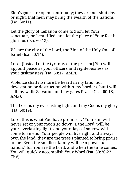Zion's gates are open continually; they are not shut day or night, that men may bring the wealth of the nations (Isa. 60:11).

Let the glory of Lebanon come to Zion, let Your sanctuary be beautified, and let the place of Your feet be glorious (Isa. 60:13).

We are the city of the Lord, the Zion of the Holy One of Israel (Isa. 60:14).

Lord, [instead of the tyranny of the present] You will appoint peace as your officers and righteousness as your taskmasters (Isa. 60:17, AMP).

Violence shall no more be heard in my land, nor devastation or destruction within my borders, but I will call my walls Salvation and my gates Praise (Isa. 60:18, AMP).

The Lord is my everlasting light, and my God is my glory (Isa. 60:19).

Lord, this is what You have promised: "Your sun will never set or your moon go down. I, the Lord, will be your everlasting light, and your days of sorrow will come to an end. Your people will live right and always own the land; they are the trees I planted to bring praise to me. Even the smallest family will be a powerful nation," for You are the Lord, and when the time comes, You will quickly accomplish Your Word (Isa. 60:20-22, CEV).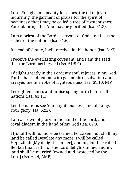Lord, You give me beauty for ashes, the oil of joy for mourning, the garment of praise for the spirit of heaviness; that I may be called a tree of righteousness, Your planting, that You may be glorified (Isa. 61:3).

I am a priest of the Lord, a servant of God, and I eat the riches of the nations (Isa. 61:6).

Instead of shame, I will receive double honor (Isa. 61:7).

I receive the everlasting covenant, and I am the seed that the Lord has blessed (Isa. 61:8-9).

I delight greatly in the Lord; my soul rejoices in my God. For he has clothed me with garments of salvation and arrayed me in a robe of righteousness (Isa. 61:10, NIV).

Let righteousness and praise spring forth before all nations (Isa. 61:11).

Let the nations see Your righteousness, and all kings Your glory (Isa. 62:2).

I am a crown of glory in the hand of the Lord, and a royal diadem in the hand of my God (Isa. 62:3).

I [Judah] will no more be termed Forsaken, nor shall my land be called Desolate any more. I will be called Hephzibah [My delight is in her], and my land be called Beulah [married]; for the Lord delights in me, and my land shall be married [owned and protected by the Lord] (Isa. 62:4, AMP).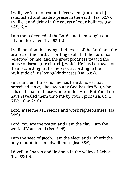I will give You no rest until Jerusalem [the church] is established and made a praise in the earth (Isa. 62:7). I will eat and drink in the courts of Your holiness (Isa. 62:9, KJV).

I am the redeemed of the Lord, and I am sought out, a city not forsaken (Isa. 62:12).

I will mention the loving-kindnesses of the Lord and the praises of the Lord, according to all that the Lord has bestowed on me, and the great goodness toward the house of Israel [the church], which He has bestowed on them according to His mercies, according to the multitude of His loving-kindnesses (Isa. 63:7).

Since ancient times no one has heard, no ear has perceived, no eye has seen any God besides You, who acts on behalf of those who wait for Him. But You, Lord, have revealed them unto me by Your Spirit (Isa. 64:4, NIV; 1 Cor. 2:10).

Lord, meet me as I rejoice and work righteousness (Isa. 64:5).

Lord, You are the potter, and I am the clay; I am the work of Your hand (Isa. 64:8).

I am the seed of Jacob. I am the elect, and I inherit the holy mountains and dwell there (Isa. 65:9).

I dwell in Sharon and lie down in the valley of Achor (Isa. 65:10).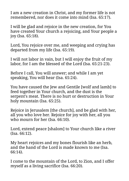I am a new creation in Christ, and my former life is not remembered, nor does it come into mind (Isa. 65:17).

I will be glad and rejoice in the new creation, for You have created Your church a rejoicing, and Your people a joy (Isa. 65:18).

Lord, You rejoice over me, and weeping and crying has departed from my life (Isa. 65:19).

I will not labor in vain, but I will enjoy the fruit of my labor, for I am the blessed of the Lord (Isa. 65:21-23).

Before I call, You will answer; and while I am yet speaking, You will hear (Isa. 65:24).

You have caused the Jew and Gentile [wolf and lamb] to feed together in Your church, and the dust is the serpent's meat. There is no hurt or destruction in Your holy mountain (Isa. 65:25).

Rejoice in Jerusalem [the church], and be glad with her, all you who love her. Rejoice for joy with her, all you who mourn for her (Isa. 66:10).

Lord, extend peace [shalom] to Your church like a river (Isa. 66:12).

My heart rejoices and my bones flourish like an herb, and the hand of the Lord is made known to me (Isa. 66:14).

I come to the mountain of the Lord, to Zion, and I offer myself as a living sacrifice (Isa. 66:20).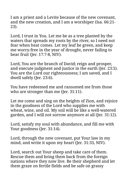I am a priest and a Levite because of the new covenant, and the new creation, and I am a worshiper (Isa. 66:21- 23).

Lord, I trust in You. Let me be as a tree planted by the waters that spreads my roots by the river, so I need not fear when heat comes. Let my leaf be green, and keep me worry-free in the year of drought, never failing to bear fruit (Jer. 17:7-8, NIV).

Lord, You are the branch of David; reign and prosper, and execute judgment and justice in the earth (Jer. 23:5). You are the Lord our righteousness; I am saved, and I dwell safely (Jer. 23:6).

You have redeemed me and ransomed me from those who are stronger than me (Jer. 31:11).

Let me come and sing on the heights of Zion, and rejoice in the goodness of the Lord who supplies me with wheat, wine, and oil. My soil will be like a well-watered garden, and I will not sorrow anymore at all (Jer. 31:12).

Lord, satisfy my soul with abundance, and fill me with Your goodness (Jer. 31:14).

Lord, through the new covenant, put Your law in my mind, and write it upon my heart (Jer. 31:33, NIV).

Lord, search out Your sheep and take care of them. Rescue them and bring them back from the foreign nations where they now live. Be their shepherd and let them graze on fertile fields and be safe on grassy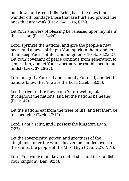meadows and green hills. Bring back the ones that wander off; bandage those that are hurt and protect the ones that are weak (Ezek. 34:11-16, CEV).

Let Your showers of blessing be released upon my life in this season (Ezek. 34:26).

Lord, sprinkle the nations, and give the people a new heart and a new spirit; put Your spirit in them, and let them keep Your statutes and judgments (Ezek. 36:25-27). Let Your covenant of peace continue from generation to generation, and let Your sanctuary be established in our midst (Ezek. 37:26-27).

Lord, magnify Yourself and sanctify Yourself, and let the nations know that You are the Lord (Ezek. 38:23).

Let the river of life flow from Your dwelling place throughout the nations, and let the nations be healed (Ezek. 47).

Let the nations eat from the trees of life, and let them be for medicine (Ezek. 47:12).

Lord, I am a saint, and I possess the kingdom (Dan. 7:22).

Let the sovereignty, power, and greatness of the kingdoms under the whole heaven be handed over to the saints, the people of the Most High (Dan. 7:27, NIV).

Lord, You came to make an end of sins and to establish Your kingdom (Dan. 9:24).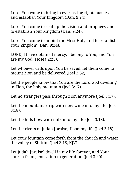Lord, You came to bring in everlasting righteousness and establish Your kingdom (Dan. 9:24).

Lord, You came to seal up the vision and prophecy and to establish Your kingdom (Dan. 9:24).

Lord, You came to anoint the Most Holy and to establish Your kingdom (Dan. 9:24).

LORD, I have obtained mercy; I belong to You, and You are my God (Hosea 2:23).

Let whoever calls upon You be saved; let them come to mount Zion and be delivered (Joel 2:32).

Let the people know that You are the Lord God dwelling in Zion, the holy mountain (Joel 3:17).

Let no strangers pass through Zion anymore (Joel 3:17).

Let the mountains drip with new wine into my life (Joel 3:18).

Let the hills flow with milk into my life (Joel 3:18).

Let the rivers of Judah [praise] flood my life (Joel 3:18).

Let Your fountain come forth from the church and water the valley of Shittim (Joel 3:18, KJV).

Let Judah [praise] dwell in my life forever, and Your church from generation to generation (Joel 3:20).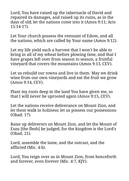Lord, You have raised up the tabernacle of David and repaired its damages, and raised up its ruins, as in the days of old; let the nations come into it (Amos 9:11; Acts 15:14-17).

Let Your church possess the remnant of Edom, and all the nations, which are called by Your name (Amos 9:12).

Let my life yield such a harvest that I won't be able to bring in all of my wheat before plowing time, and that I have grapes left over from season to season, a fruitful vineyard that covers the mountains (Amos 9:13, CEV).

Let us rebuild our towns and live in them. May we drink wine from our own vineyards and eat the fruit we grow (Amos 9:14, CEV).

Plant my roots deep in the land You have given me, so that I will never be uprooted again (Amos 9:15, CEV).

Let the nations receive deliverance on Mount Zion, and let them walk in holiness; let us possess our possessions (Obad. 17).

Raise up deliverers on Mount Zion, and let the Mount of Esau [the flesh] be judged, for the kingdom is the Lord's (Obad. 21).

Lord, assemble the lame, and the outcast, and the afflicted (Mic. 4:6).

Lord, You reign over us in Mount Zion, from henceforth and forever, even forever (Mic. 4:7, KJV).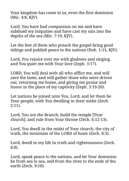Your kingdom has come to us, even the first dominion (Mic. 4:8, KJV).

Lord, You have had compassion on me and have subdued my iniquities and have cast my sins into the depths of the sea (Mic. 7:19, KJV).

Let the feet of them who preach the gospel bring good tidings and publish peace to the nations (Nah. 1:15, KJV).

Lord, You rejoice over me with gladness and singing, and You quiet me with Your love (Zeph. 3:17).

LORD, You will deal with all who afflict me, and will save the lame, and will gather those who were driven out, returning me home, and giving me praise and honor in the place of my captivity (Zeph. 3:19-20).

Let nations be joined unto You, Lord, and let them be Your people, with You dwelling in their midst (Zech. 2:11).

Lord, You are the Branch; build the temple [Your church], and rule from Your throne (Zech. 6:12-13).

Lord, You dwell in the midst of Your church, the city of truth, the mountain of the LORD of hosts (Zech. 8:3).

Lord, dwell in my life in truth and righteousness (Zech. 8:8).

Lord, speak peace to the nations, and let Your dominion be from sea to sea, and from the river to the ends of the earth (Zech. 9:10).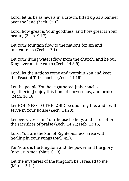Lord, let us be as jewels in a crown, lifted up as a banner over the land (Zech. 9:16).

Lord, how great is Your goodness, and how great is Your beauty (Zech. 9:17).

Let Your fountain flow to the nations for sin and uncleanness (Zech. 13:1).

Let Your living waters flow from the church, and be our King over all the earth (Zech. 14:8-9).

Lord, let the nations come and worship You and keep the Feast of Tabernacles (Zech. 14:16).

Let the people You have gathered [tabernacles, ingathering] enjoy this time of harvest, joy, and praise (Zech. 14:16).

Let HOLINESS TO THE LORD be upon my life, and I will serve in Your house (Zech. 14:20).

Let every vessel in Your house be holy, and let us offer the sacrifices of praise (Zech. 14:21; Heb. 13:16).

Lord, You are the Sun of Righteousness; arise with healing in Your wings (Mal. 4:2).

For Yours is the kingdom and the power and the glory forever. Amen (Matt. 6:13).

Let the mysteries of the kingdom be revealed to me (Matt. 13:11).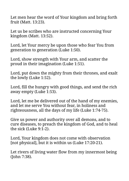Let men hear the word of Your kingdom and bring forth fruit (Matt. 13:23).

Let us be scribes who are instructed concerning Your kingdom (Matt. 13:52).

Lord, let Your mercy be upon those who fear You from generation to generation (Luke 1:50).

Lord, show strength with Your arm, and scatter the proud in their imagination (Luke 1:51).

Lord, put down the mighty from their thrones, and exalt the lowly (Luke 1:52).

Lord, fill the hungry with good things, and send the rich away empty (Luke 1:53).

Lord, let me be delivered out of the hand of my enemies, and let me serve You without fear, in holiness and righteousness, all the days of my life (Luke 1:74-75).

Give us power and authority over all demons, and to cure diseases, to preach the kingdom of God, and to heal the sick (Luke 9:1-2).

Lord, Your kingdom does not come with observation [not physical], but it is within us (Luke 17:20-21).

Let rivers of living water flow from my innermost being (John 7:38).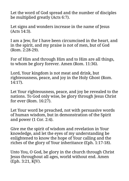Let the word of God spread and the number of disciples be multiplied greatly (Acts 6:7).

Let signs and wonders increase in the name of Jesus (Acts 14:3).

I am a Jew, for I have been circumcised in the heart, and in the spirit, and my praise is not of men, but of God (Rom. 2:28-29).

For of Him and through Him and to Him are all things, to whom be glory forever. Amen (Rom. 11:36).

Lord, Your kingdom is not meat and drink, but righteousness, peace, and joy in the Holy Ghost (Rom. 14:17).

Let Your righteousness, peace, and joy be revealed to the nations. To God only wise, be glory through Jesus Christ for ever (Rom. 16:27).

Let Your word be preached, not with persuasive words of human wisdom, but in demonstration of the Spirit and power (1 Cor. 2:4).

Give me the spirit of wisdom and revelation in Your knowledge, and let the eyes of my understanding be enlightened to know the hope of Your calling and the riches of the glory of Your inheritance (Eph. 1:17-18).

Unto You, O God, be glory in the church through Christ Jesus throughout all ages, world without end. Amen (Eph. 3:21, KJV).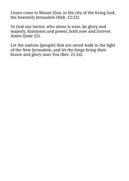I have come to Mount Zion, to the city of the living God, the heavenly Jerusalem (Heb. 12:22).

To God our Savior, who alone is wise, be glory and majesty, dominion and power, both now and forever. Amen (Jude 25).

Let the nations [people] that are saved walk in the light of the New Jerusalem, and let the kings bring their honor and glory unto You (Rev. 21:24).